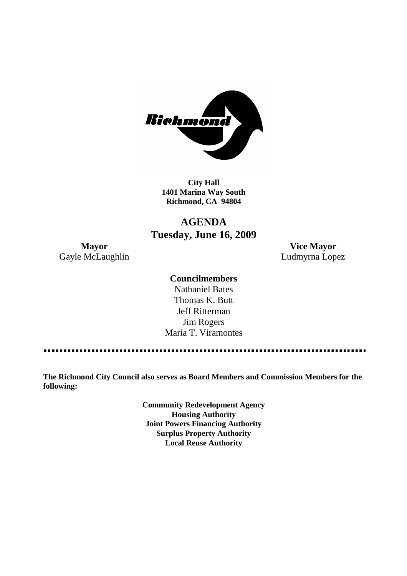

**City Hall 1401 Marina Way South Richmond, CA 94804**

# **AGENDA Tuesday, June 16, 2009**

Gayle McLaughlin **Ludmyrna Lopez** 

**Mayor Vice Mayor**

# **Councilmembers**

Nathaniel Bates Thomas K. Butt Jeff Ritterman Jim Rogers Maria T. Viramontes

**The Richmond City Council also serves as Board Members and Commission Members for the following:**

> **Community Redevelopment Agency Housing Authority Joint Powers Financing Authority Surplus Property Authority Local Reuse Authority**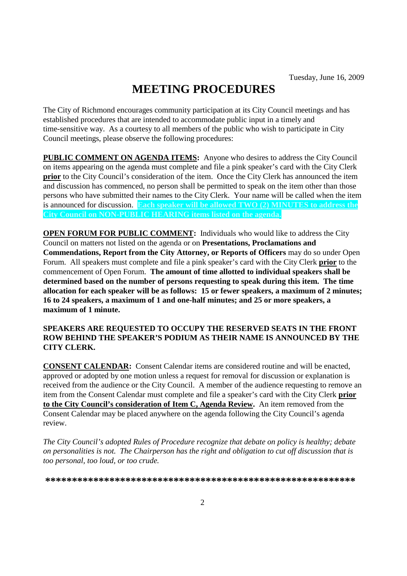# **MEETING PROCEDURES**

The City of Richmond encourages community participation at its City Council meetings and has established procedures that are intended to accommodate public input in a timely and time-sensitive way. As a courtesy to all members of the public who wish to participate in City Council meetings, please observe the following procedures:

**PUBLIC COMMENT ON AGENDA ITEMS:** Anyone who desires to address the City Council on items appearing on the agenda must complete and file a pink speaker's card with the City Clerk **prior** to the City Council's consideration of the item. Once the City Clerk has announced the item and discussion has commenced, no person shall be permitted to speak on the item other than those persons who have submitted their names to the City Clerk. Your name will be called when the item is announced for discussion. **Each speaker will be allowed TWO (2) MINUTES to address the City Council on NON-PUBLIC HEARING items listed on the agenda.**

**OPEN FORUM FOR PUBLIC COMMENT:** Individuals who would like to address the City Council on matters not listed on the agenda or on **Presentations, Proclamations and Commendations, Report from the City Attorney, or Reports of Officers** may do so under Open Forum. All speakers must complete and file a pink speaker's card with the City Clerk **prior** to the commencement of Open Forum. **The amount of time allotted to individual speakers shall be determined based on the number of persons requesting to speak during this item. The time allocation for each speaker will be as follows: 15 or fewer speakers, a maximum of 2 minutes; 16 to 24 speakers, a maximum of 1 and one-half minutes; and 25 or more speakers, a maximum of 1 minute.**

### **SPEAKERS ARE REQUESTED TO OCCUPY THE RESERVED SEATS IN THE FRONT ROW BEHIND THE SPEAKER'S PODIUM AS THEIR NAME IS ANNOUNCED BY THE CITY CLERK.**

**CONSENT CALENDAR:** Consent Calendar items are considered routine and will be enacted, approved or adopted by one motion unless a request for removal for discussion or explanation is received from the audience or the City Council. A member of the audience requesting to remove an item from the Consent Calendar must complete and file a speaker's card with the City Clerk **prior to the City Council's consideration of Item C, Agenda Review.** An item removed from the Consent Calendar may be placed anywhere on the agenda following the City Council's agenda review.

*The City Council's adopted Rules of Procedure recognize that debate on policy is healthy; debate on personalities is not. The Chairperson has the right and obligation to cut off discussion that is too personal, too loud, or too crude.*

**\*\*\*\*\*\*\*\*\*\*\*\*\*\*\*\*\*\*\*\*\*\*\*\*\*\*\*\*\*\*\*\*\*\*\*\*\*\*\*\*\*\*\*\*\*\*\*\*\*\*\*\*\*\*\*\*\*\***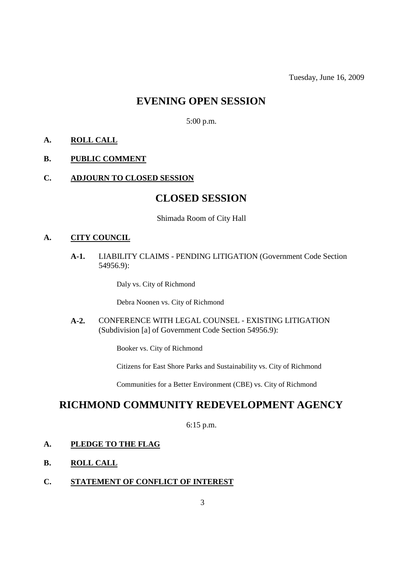# **EVENING OPEN SESSION**

5:00 p.m.

# **A. ROLL CALL**

### **B. PUBLIC COMMENT**

### **C. ADJOURN TO CLOSED SESSION**

# **CLOSED SESSION**

### Shimada Room of City Hall

# **A. CITY COUNCIL**

**A-1.** LIABILITY CLAIMS - PENDING LITIGATION (Government Code Section 54956.9):

Daly vs. City of Richmond

Debra Noonen vs. City of Richmond

**A-2.** CONFERENCE WITH LEGAL COUNSEL - EXISTING LITIGATION (Subdivision [a] of Government Code Section 54956.9):

Booker vs. City of Richmond

Citizens for East Shore Parks and Sustainability vs. City of Richmond

Communities for a Better Environment (CBE) vs. City of Richmond

# **RICHMOND COMMUNITY REDEVELOPMENT AGENCY**

6:15 p.m.

### **A. PLEDGE TO THE FLAG**

- **B. ROLL CALL**
- **C. STATEMENT OF CONFLICT OF INTEREST**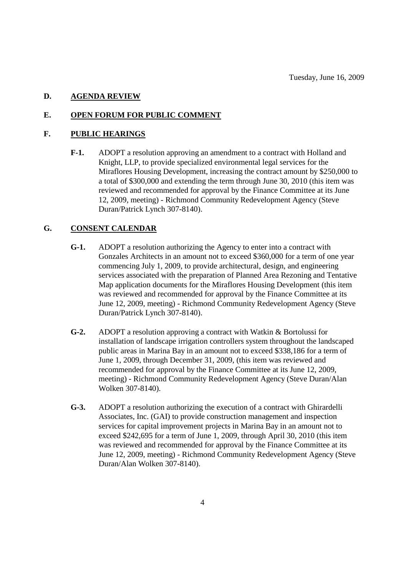### **D. AGENDA REVIEW**

### **E. OPEN FORUM FOR PUBLIC COMMENT**

## **F. PUBLIC HEARINGS**

**F-1.** ADOPT a resolution approving an amendment to a contract with Holland and Knight, LLP, to provide specialized environmental legal services for the Miraflores Housing Development, increasing the contract amount by \$250,000 to a total of \$300,000 and extending the term through June 30, 2010 (this item was reviewed and recommended for approval by the Finance Committee at its June 12, 2009, meeting) - Richmond Community Redevelopment Agency (Steve Duran/Patrick Lynch 307-8140).

# **G. CONSENT CALENDAR**

- **G-1.** ADOPT a resolution authorizing the Agency to enter into a contract with Gonzales Architects in an amount not to exceed \$360,000 for a term of one year commencing July 1, 2009, to provide architectural, design, and engineering services associated with the preparation of Planned Area Rezoning and Tentative Map application documents for the Miraflores Housing Development (this item was reviewed and recommended for approval by the Finance Committee at its June 12, 2009, meeting) - Richmond Community Redevelopment Agency (Steve Duran/Patrick Lynch 307-8140).
- **G-2.** ADOPT a resolution approving a contract with Watkin & Bortolussi for installation of landscape irrigation controllers system throughout the landscaped public areas in Marina Bay in an amount not to exceed \$338,186 for a term of June 1, 2009, through December 31, 2009, (this item was reviewed and recommended for approval by the Finance Committee at its June 12, 2009, meeting) - Richmond Community Redevelopment Agency (Steve Duran/Alan Wolken 307-8140).
- **G-3.** ADOPT a resolution authorizing the execution of a contract with Ghirardelli Associates, Inc. (GAI) to provide construction management and inspection services for capital improvement projects in Marina Bay in an amount not to exceed \$242,695 for a term of June 1, 2009, through April 30, 2010 (this item was reviewed and recommended for approval by the Finance Committee at its June 12, 2009, meeting) - Richmond Community Redevelopment Agency (Steve Duran/Alan Wolken 307-8140).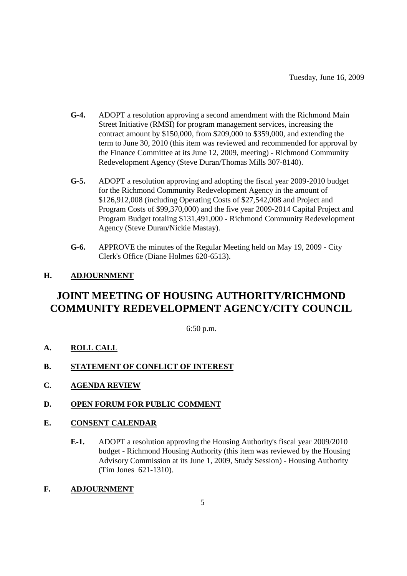- **G-4.** ADOPT a resolution approving a second amendment with the Richmond Main Street Initiative (RMSI) for program management services, increasing the contract amount by \$150,000, from \$209,000 to \$359,000, and extending the term to June 30, 2010 (this item was reviewed and recommended for approval by the Finance Committee at its June 12, 2009, meeting) - Richmond Community Redevelopment Agency (Steve Duran/Thomas Mills 307-8140).
- **G-5.** ADOPT a resolution approving and adopting the fiscal year 2009-2010 budget for the Richmond Community Redevelopment Agency in the amount of \$126,912,008 (including Operating Costs of \$27,542,008 and Project and Program Costs of \$99,370,000) and the five year 2009-2014 Capital Project and Program Budget totaling \$131,491,000 - Richmond Community Redevelopment Agency (Steve Duran/Nickie Mastay).
- **G-6.** APPROVE the minutes of the Regular Meeting held on May 19, 2009 City Clerk's Office (Diane Holmes 620-6513).

# **H. ADJOURNMENT**

# **JOINT MEETING OF HOUSING AUTHORITY/RICHMOND COMMUNITY REDEVELOPMENT AGENCY/CITY COUNCIL**

6:50 p.m.

- **A. ROLL CALL**
- **B. STATEMENT OF CONFLICT OF INTEREST**
- **C. AGENDA REVIEW**
- **D. OPEN FORUM FOR PUBLIC COMMENT**

# **E. CONSENT CALENDAR**

- **E-1.** ADOPT a resolution approving the Housing Authority's fiscal year 2009/2010 budget - Richmond Housing Authority (this item was reviewed by the Housing Advisory Commission at its June 1, 2009, Study Session) - Housing Authority (Tim Jones 621-1310).
- **F. ADJOURNMENT**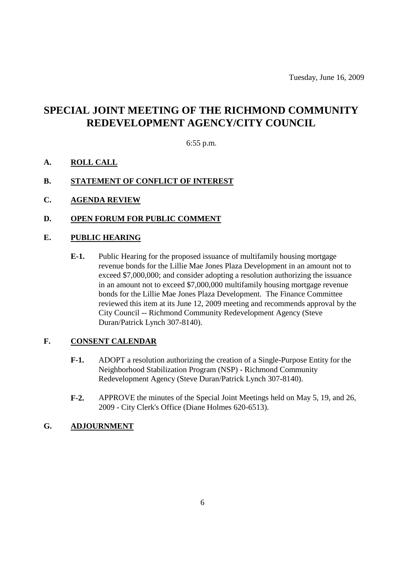# **SPECIAL JOINT MEETING OF THE RICHMOND COMMUNITY REDEVELOPMENT AGENCY/CITY COUNCIL**

6:55 p.m.

- **A. ROLL CALL**
- **B. STATEMENT OF CONFLICT OF INTEREST**
- **C. AGENDA REVIEW**
- **D. OPEN FORUM FOR PUBLIC COMMENT**

## **E. PUBLIC HEARING**

**E-1.** Public Hearing for the proposed issuance of multifamily housing mortgage revenue bonds for the Lillie Mae Jones Plaza Development in an amount not to exceed \$7,000,000; and consider adopting a resolution authorizing the issuance in an amount not to exceed \$7,000,000 multifamily housing mortgage revenue bonds for the Lillie Mae Jones Plaza Development. The Finance Committee reviewed this item at its June 12, 2009 meeting and recommends approval by the City Council -- Richmond Community Redevelopment Agency (Steve Duran/Patrick Lynch 307-8140).

# **F. CONSENT CALENDAR**

- **F-1.** ADOPT a resolution authorizing the creation of a Single-Purpose Entity for the Neighborhood Stabilization Program (NSP) - Richmond Community Redevelopment Agency (Steve Duran/Patrick Lynch 307-8140).
- **F-2.** APPROVE the minutes of the Special Joint Meetings held on May 5, 19, and 26, 2009 - City Clerk's Office (Diane Holmes 620-6513).

### **G. ADJOURNMENT**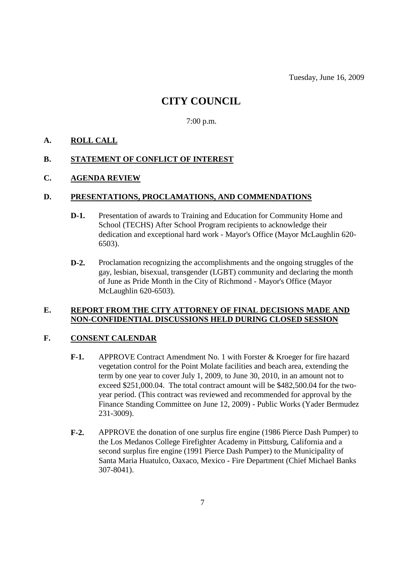# **CITY COUNCIL**

### 7:00 p.m.

### **A. ROLL CALL**

# **B. STATEMENT OF CONFLICT OF INTEREST**

### **C. AGENDA REVIEW**

#### **D. PRESENTATIONS, PROCLAMATIONS, AND COMMENDATIONS**

- **D-1.** Presentation of awards to Training and Education for Community Home and School (TECHS) After School Program recipients to acknowledge their dedication and exceptional hard work - Mayor's Office (Mayor McLaughlin 620- 6503).
- **D-2.** Proclamation recognizing the accomplishments and the ongoing struggles of the gay, lesbian, bisexual, transgender (LGBT) community and declaring the month of June as Pride Month in the City of Richmond - Mayor's Office (Mayor McLaughlin 620-6503).

### **E. REPORT FROM THE CITY ATTORNEY OF FINAL DECISIONS MADE AND NON-CONFIDENTIAL DISCUSSIONS HELD DURING CLOSED SESSION**

### **F. CONSENT CALENDAR**

- **F-1.** APPROVE Contract Amendment No. 1 with Forster & Kroeger for fire hazard vegetation control for the Point Molate facilities and beach area, extending the term by one year to cover July 1, 2009, to June 30, 2010, in an amount not to exceed \$251,000.04. The total contract amount will be \$482,500.04 for the twoyear period. (This contract was reviewed and recommended for approval by the Finance Standing Committee on June 12, 2009) - Public Works (Yader Bermudez 231-3009).
- **F-2.** APPROVE the donation of one surplus fire engine (1986 Pierce Dash Pumper) to the Los Medanos College Firefighter Academy in Pittsburg, California and a second surplus fire engine (1991 Pierce Dash Pumper) to the Municipality of Santa Maria Huatulco, Oaxaco, Mexico - Fire Department (Chief Michael Banks 307-8041).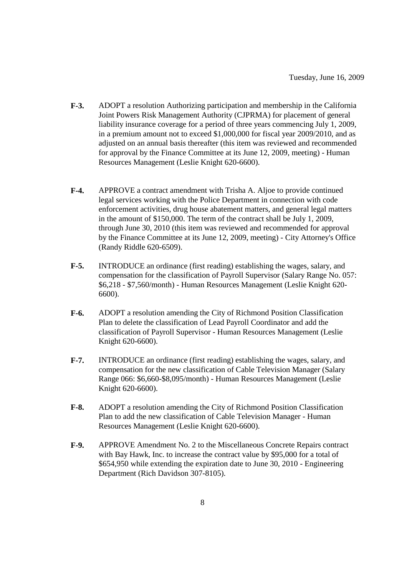- **F-3.** ADOPT a resolution Authorizing participation and membership in the California Joint Powers Risk Management Authority (CJPRMA) for placement of general liability insurance coverage for a period of three years commencing July 1, 2009, in a premium amount not to exceed \$1,000,000 for fiscal year 2009/2010, and as adjusted on an annual basis thereafter (this item was reviewed and recommended for approval by the Finance Committee at its June 12, 2009, meeting) - Human Resources Management (Leslie Knight 620-6600).
- **F-4.** APPROVE a contract amendment with Trisha A. Aljoe to provide continued legal services working with the Police Department in connection with code enforcement activities, drug house abatement matters, and general legal matters in the amount of \$150,000. The term of the contract shall be July 1, 2009, through June 30, 2010 (this item was reviewed and recommended for approval by the Finance Committee at its June 12, 2009, meeting) - City Attorney's Office (Randy Riddle 620-6509).
- **F-5.** INTRODUCE an ordinance (first reading) establishing the wages, salary, and compensation for the classification of Payroll Supervisor (Salary Range No. 057: \$6,218 - \$7,560/month) - Human Resources Management (Leslie Knight 620- 6600).
- **F-6.** ADOPT a resolution amending the City of Richmond Position Classification Plan to delete the classification of Lead Payroll Coordinator and add the classification of Payroll Supervisor - Human Resources Management (Leslie Knight 620-6600).
- **F-7.** INTRODUCE an ordinance (first reading) establishing the wages, salary, and compensation for the new classification of Cable Television Manager (Salary Range 066: \$6,660-\$8,095/month) - Human Resources Management (Leslie Knight 620-6600).
- **F-8.** ADOPT a resolution amending the City of Richmond Position Classification Plan to add the new classification of Cable Television Manager - Human Resources Management (Leslie Knight 620-6600).
- **F-9.** APPROVE Amendment No. 2 to the Miscellaneous Concrete Repairs contract with Bay Hawk, Inc. to increase the contract value by \$95,000 for a total of \$654,950 while extending the expiration date to June 30, 2010 - Engineering Department (Rich Davidson 307-8105).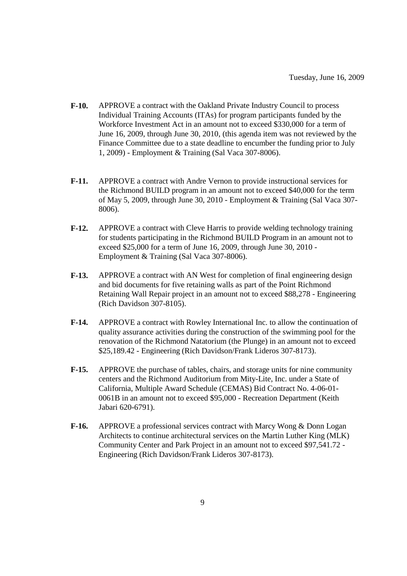- **F-10.** APPROVE a contract with the Oakland Private Industry Council to process Individual Training Accounts (ITAs) for program participants funded by the Workforce Investment Act in an amount not to exceed \$330,000 for a term of June 16, 2009, through June 30, 2010, (this agenda item was not reviewed by the Finance Committee due to a state deadline to encumber the funding prior to July 1, 2009) - Employment & Training (Sal Vaca 307-8006).
- **F-11.** APPROVE a contract with Andre Vernon to provide instructional services for the Richmond BUILD program in an amount not to exceed \$40,000 for the term of May 5, 2009, through June 30, 2010 - Employment & Training (Sal Vaca 307- 8006).
- **F-12.** APPROVE a contract with Cleve Harris to provide welding technology training for students participating in the Richmond BUILD Program in an amount not to exceed \$25,000 for a term of June 16, 2009, through June 30, 2010 - Employment & Training (Sal Vaca 307-8006).
- **F-13.** APPROVE a contract with AN West for completion of final engineering design and bid documents for five retaining walls as part of the Point Richmond Retaining Wall Repair project in an amount not to exceed \$88,278 - Engineering (Rich Davidson 307-8105).
- **F-14.** APPROVE a contract with Rowley International Inc. to allow the continuation of quality assurance activities during the construction of the swimming pool for the renovation of the Richmond Natatorium (the Plunge) in an amount not to exceed \$25,189.42 - Engineering (Rich Davidson/Frank Lideros 307-8173).
- **F-15.** APPROVE the purchase of tables, chairs, and storage units for nine community centers and the Richmond Auditorium from Mity-Lite, Inc. under a State of California, Multiple Award Schedule (CEMAS) Bid Contract No. 4-06-01- 0061B in an amount not to exceed \$95,000 - Recreation Department (Keith Jabari 620-6791).
- **F-16.** APPROVE a professional services contract with Marcy Wong & Donn Logan Architects to continue architectural services on the Martin Luther King (MLK) Community Center and Park Project in an amount not to exceed \$97,541.72 - Engineering (Rich Davidson/Frank Lideros 307-8173).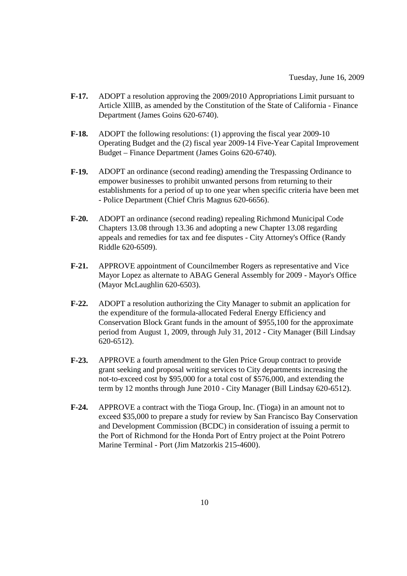- **F-17.** ADOPT a resolution approving the 2009/2010 Appropriations Limit pursuant to Article XlllB, as amended by the Constitution of the State of California - Finance Department (James Goins 620-6740).
- **F-18.** ADOPT the following resolutions: (1) approving the fiscal year 2009-10 Operating Budget and the (2) fiscal year 2009-14 Five-Year Capital Improvement Budget – Finance Department (James Goins 620-6740).
- **F-19.** ADOPT an ordinance (second reading) amending the Trespassing Ordinance to empower businesses to prohibit unwanted persons from returning to their establishments for a period of up to one year when specific criteria have been met - Police Department (Chief Chris Magnus 620-6656).
- **F-20.** ADOPT an ordinance (second reading) repealing Richmond Municipal Code Chapters 13.08 through 13.36 and adopting a new Chapter 13.08 regarding appeals and remedies for tax and fee disputes - City Attorney's Office (Randy Riddle 620-6509).
- **F-21.** APPROVE appointment of Councilmember Rogers as representative and Vice Mayor Lopez as alternate to ABAG General Assembly for 2009 - Mayor's Office (Mayor McLaughlin 620-6503).
- **F-22.** ADOPT a resolution authorizing the City Manager to submit an application for the expenditure of the formula-allocated Federal Energy Efficiency and Conservation Block Grant funds in the amount of \$955,100 for the approximate period from August 1, 2009, through July 31, 2012 - City Manager (Bill Lindsay 620-6512).
- **F-23.** APPROVE a fourth amendment to the Glen Price Group contract to provide grant seeking and proposal writing services to City departments increasing the not-to-exceed cost by \$95,000 for a total cost of \$576,000, and extending the term by 12 months through June 2010 - City Manager (Bill Lindsay 620-6512).
- **F-24.** APPROVE a contract with the Tioga Group, Inc. (Tioga) in an amount not to exceed \$35,000 to prepare a study for review by San Francisco Bay Conservation and Development Commission (BCDC) in consideration of issuing a permit to the Port of Richmond for the Honda Port of Entry project at the Point Potrero Marine Terminal - Port (Jim Matzorkis 215-4600).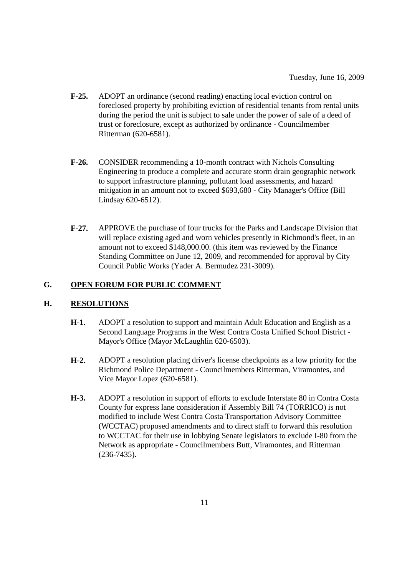- **F-25.** ADOPT an ordinance (second reading) enacting local eviction control on foreclosed property by prohibiting eviction of residential tenants from rental units during the period the unit is subject to sale under the power of sale of a deed of trust or foreclosure, except as authorized by ordinance - Councilmember Ritterman (620-6581).
- **F-26.** CONSIDER recommending a 10-month contract with Nichols Consulting Engineering to produce a complete and accurate storm drain geographic network to support infrastructure planning, pollutant load assessments, and hazard mitigation in an amount not to exceed \$693,680 - City Manager's Office (Bill Lindsay 620-6512).
- **F-27.** APPROVE the purchase of four trucks for the Parks and Landscape Division that will replace existing aged and worn vehicles presently in Richmond's fleet, in an amount not to exceed \$148,000.00. (this item was reviewed by the Finance Standing Committee on June 12, 2009, and recommended for approval by City Council Public Works (Yader A. Bermudez 231-3009).

## **G. OPEN FORUM FOR PUBLIC COMMENT**

### **H. RESOLUTIONS**

- **H-1.** ADOPT a resolution to support and maintain Adult Education and English as a Second Language Programs in the West Contra Costa Unified School District - Mayor's Office (Mayor McLaughlin 620-6503).
- **H-2.** ADOPT a resolution placing driver's license checkpoints as a low priority for the Richmond Police Department - Councilmembers Ritterman, Viramontes, and Vice Mayor Lopez (620-6581).
- **H-3.** ADOPT a resolution in support of efforts to exclude Interstate 80 in Contra Costa County for express lane consideration if Assembly Bill 74 (TORRICO) is not modified to include West Contra Costa Transportation Advisory Committee (WCCTAC) proposed amendments and to direct staff to forward this resolution to WCCTAC for their use in lobbying Senate legislators to exclude I-80 from the Network as appropriate - Councilmembers Butt, Viramontes, and Ritterman (236-7435).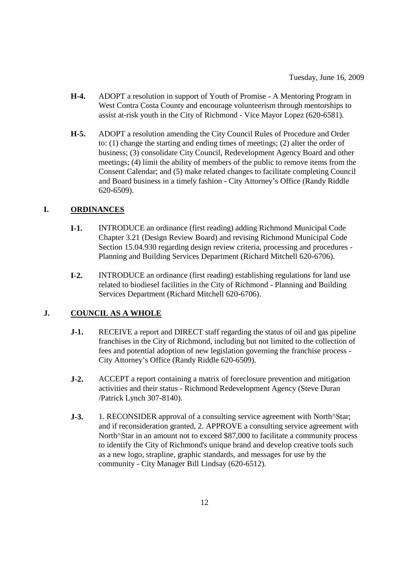- **H-4.** ADOPT a resolution in support of Youth of Promise A Mentoring Program in West Contra Costa County and encourage volunteerism through mentorships to assist at-risk youth in the City of Richmond - Vice Mayor Lopez (620-6581).
- **H-5.** ADOPT a resolution amending the City Council Rules of Procedure and Order to: (1) change the starting and ending times of meetings; (2) alter the order of business; (3) consolidate City Council, Redevelopment Agency Board and other meetings; (4) limit the ability of members of the public to remove items from the Consent Calendar; and (5) make related changes to facilitate completing Council and Board business in a timely fashion - City Attorney's Office (Randy Riddle 620-6509).

# **I. ORDINANCES**

- **I-1.** INTRODUCE an ordinance (first reading) adding Richmond Municipal Code Chapter 3.21 (Design Review Board) and revising Richmond Municipal Code Section 15.04.930 regarding design review criteria, processing and procedures - Planning and Building Services Department (Richard Mitchell 620-6706).
- **I-2.** INTRODUCE an ordinance (first reading) establishing regulations for land use related to biodiesel facilities in the City of Richmond - Planning and Building Services Department (Richard Mitchell 620-6706).

# **J. COUNCIL AS A WHOLE**

- **J-1.** RECEIVE a report and DIRECT staff regarding the status of oil and gas pipeline franchises in the City of Richmond, including but not limited to the collection of fees and potential adoption of new legislation governing the franchise process - City Attorney's Office (Randy Riddle 620-6509).
- **J-2.** ACCEPT a report containing a matrix of foreclosure prevention and mitigation activities and their status - Richmond Redevelopment Agency (Steve Duran /Patrick Lynch 307-8140).
- **J-3.** 1. RECONSIDER approval of a consulting service agreement with North<sup> $\triangle$ </sup>Star; and if reconsideration granted, 2. APPROVE a consulting service agreement with North^Star in an amount not to exceed \$87,000 to facilitate a community process to identify the City of Richmond's unique brand and develop creative tools such as a new logo, strapline, graphic standards, and messages for use by the community - City Manager Bill Lindsay (620-6512).